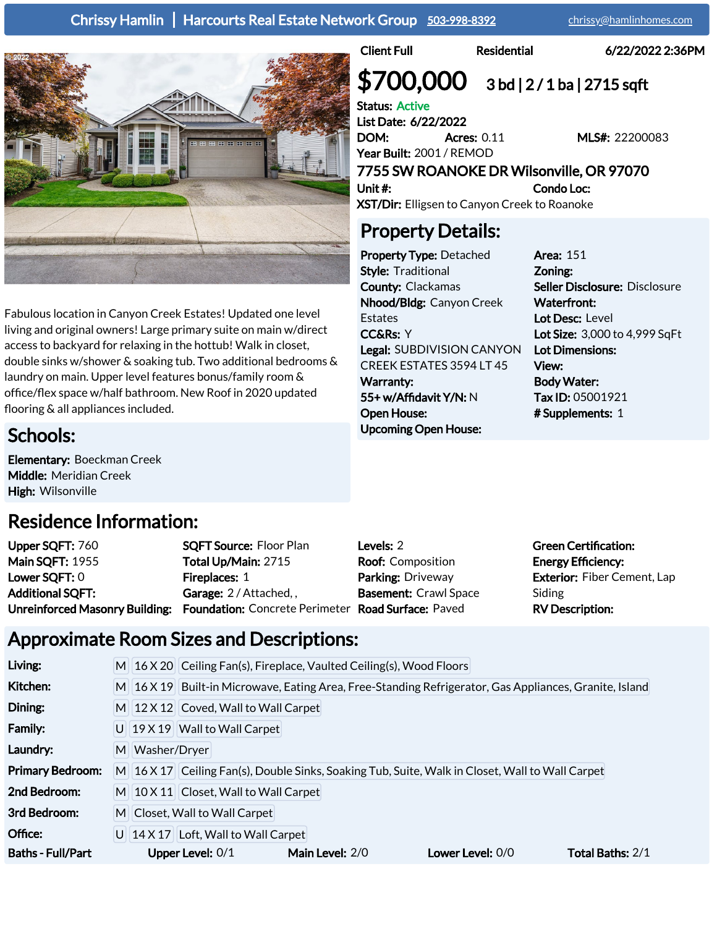Chrissy Hamlin | Harcourts Real Estate Network Group [503-998-8392](tel:503-998-8392) [chrissy@hamlinhomes.com](mailto:Chrissy@HamlinHomes.com)



Fabulous location in Canyon Creek Estates! Updated one level living and original owners! Large primary suite on main w/direct access to backyard for relaxing in the hottub! Walk in closet, double sinks w/shower & soaking tub. Two additional bedrooms & laundry on main. Upper level features bonus/family room & office/flex space w/half bathroom. New Roof in 2020 updated

Client Full **Residential** 6/22/2022 2:36PM

# $$700,000$  3 bd | 2/1 ba | 2715 sqft

Status: Active List Date: 6/22/2022 DOM: Acres: 0.11 MLS#: 22200083 Year Built: 2001 / REMOD

7755 SW ROANOKE DR Wilsonville, OR 97070 Unit #: Condo Loc:

XST/Dir: Elligsen to Canyon Creek to Roanoke

### Property Details:

Property Type: Detached Style: Traditional County: Clackamas Nhood/Bldg: Canyon Creek Estates CC&Rs: Y Legal: SUBDIVISION CANYON CREEK ESTATES 3594 LT 45 Warranty: 55+ w/Affidavit Y/N: N Open House: Upcoming Open House:

Area: 151 Zoning: Seller Disclosure: Disclosure Waterfront: Lot Desc: Level Lot Size: 3,000 to 4,999 SqFt Lot Dimensions: View: Body Water: Tax ID: 05001921 # Supplements: 1

Schools:

Elementary: Boeckman Creek Middle: Meridian Creek High: Wilsonville

flooring & all appliances included.

### Residence Information:

| Upper SQFT: 760         | <b>SQFT Source: Floor Plan</b>                                                    | Levels: 2                    | <b>Green Certification:</b>        |
|-------------------------|-----------------------------------------------------------------------------------|------------------------------|------------------------------------|
| <b>Main SQFT: 1955</b>  | Total Up/Main: 2715                                                               | <b>Roof:</b> Composition     | <b>Energy Efficiency:</b>          |
| Lower SQFT: 0           | <b>Fireplaces: 1</b>                                                              | Parking: Driveway            | <b>Exterior: Fiber Cement, Lap</b> |
| <b>Additional SQFT:</b> | Garage: 2/Attached,,                                                              | <b>Basement: Crawl Space</b> | Siding                             |
|                         | Unreinforced Masonry Building: Foundation: Concrete Perimeter Road Surface: Paved |                              | <b>RV Description:</b>             |

### Approximate Room Sizes and Descriptions:

| Living:                  |                               |                                                                                                        | M 16 X 20 Ceiling Fan(s), Fireplace, Vaulted Ceiling(s), Wood Floors |                                                                                                 |                  |  |  |  |
|--------------------------|-------------------------------|--------------------------------------------------------------------------------------------------------|----------------------------------------------------------------------|-------------------------------------------------------------------------------------------------|------------------|--|--|--|
| Kitchen:                 |                               | M 16 X 19 Built-in Microwave, Eating Area, Free-Standing Refrigerator, Gas Appliances, Granite, Island |                                                                      |                                                                                                 |                  |  |  |  |
| Dining:                  |                               | $M$ 12 X 12 Coved, Wall to Wall Carpet                                                                 |                                                                      |                                                                                                 |                  |  |  |  |
| Family:                  |                               | U 19 X 19 Wall to Wall Carpet                                                                          |                                                                      |                                                                                                 |                  |  |  |  |
| Laundry:                 | M Washer/Dryer                |                                                                                                        |                                                                      |                                                                                                 |                  |  |  |  |
| <b>Primary Bedroom:</b>  |                               |                                                                                                        |                                                                      | M 16 X 17 Ceiling Fan(s), Double Sinks, Soaking Tub, Suite, Walk in Closet, Wall to Wall Carpet |                  |  |  |  |
| 2nd Bedroom:             |                               | $M$ 10 X 11 Closet, Wall to Wall Carpet                                                                |                                                                      |                                                                                                 |                  |  |  |  |
| 3rd Bedroom:             | M Closet, Wall to Wall Carpet |                                                                                                        |                                                                      |                                                                                                 |                  |  |  |  |
| Office:                  |                               | $U$ 14 X 17 Loft, Wall to Wall Carpet                                                                  |                                                                      |                                                                                                 |                  |  |  |  |
| <b>Baths - Full/Part</b> |                               | Upper Level: 0/1                                                                                       | Main Level: 2/0                                                      | Lower Level: 0/0                                                                                | Total Baths: 2/1 |  |  |  |